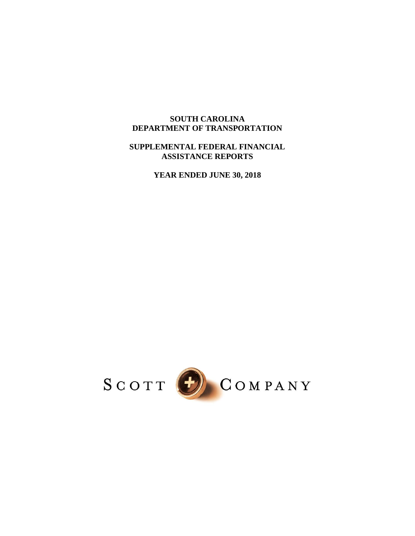## **SOUTH CAROLINA DEPARTMENT OF TRANSPORTATION**

### **SUPPLEMENTAL FEDERAL FINANCIAL ASSISTANCE REPORTS**

**YEAR ENDED JUNE 30, 2018** 

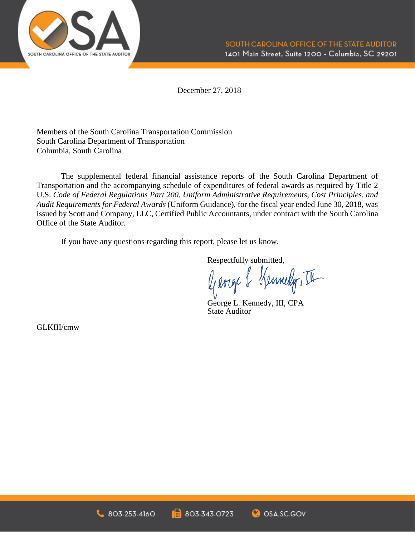

December 27, 2018

Members of the South Carolina Transportation Commission South Carolina Department of Transportation Columbia, South Carolina

The supplemental federal financial assistance reports of the South Carolina Department of Transportation and the accompanying schedule of expenditures of federal awards as required by Title 2 U.S. *Code of Federal Regulations Part 200, Uniform Administrative Requirements, Cost Principles, and Audit Requirements for Federal Awards* (Uniform Guidance), for the fiscal year ended June 30, 2018, was issued by Scott and Company, LLC, Certified Public Accountants, under contract with the South Carolina Office of the State Auditor.

If you have any questions regarding this report, please let us know.

Respectfully submitted,

George & Kennedy, III

George L. Kennedy, III, CPA State Auditor

GLKIII/cmw



1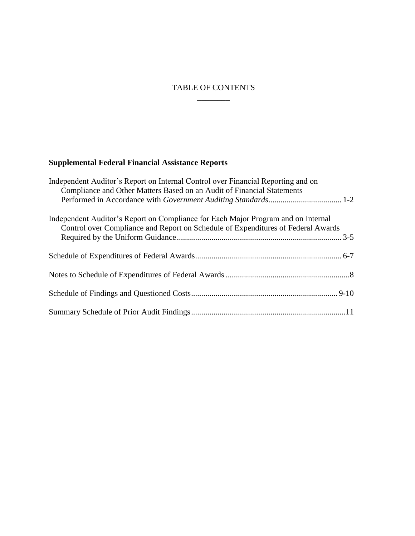## $\overline{\phantom{a}}$   $\overline{\phantom{a}}$ TABLE OF CONTENTS

# **Supplemental Federal Financial Assistance Reports**

| Independent Auditor's Report on Internal Control over Financial Reporting and on<br>Compliance and Other Matters Based on an Audit of Financial Statements            |
|-----------------------------------------------------------------------------------------------------------------------------------------------------------------------|
|                                                                                                                                                                       |
| Independent Auditor's Report on Compliance for Each Major Program and on Internal<br>Control over Compliance and Report on Schedule of Expenditures of Federal Awards |
|                                                                                                                                                                       |
|                                                                                                                                                                       |
|                                                                                                                                                                       |
|                                                                                                                                                                       |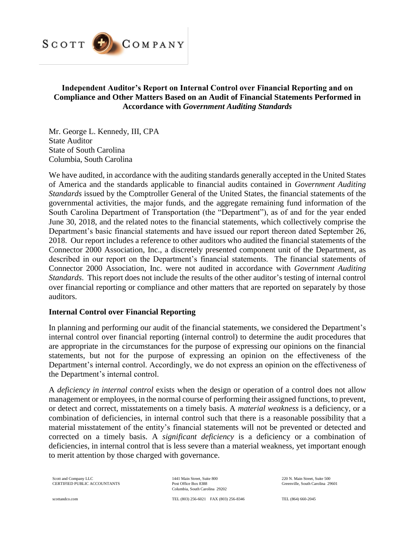

## **Independent Auditor's Report on Internal Control over Financial Reporting and on Compliance and Other Matters Based on an Audit of Financial Statements Performed in Accordance with** *Government Auditing Standards*

Mr. George L. Kennedy, III, CPA State Auditor State of South Carolina Columbia, South Carolina

 We have audited, in accordance with the auditing standards generally accepted in the United States of America and the standards applicable to financial audits contained in *Government Auditing*  2018. Our report includes a reference to other auditors who audited the financial statements of the Connector 2000 Association, Inc., a discretely presented component unit of the Department, as *Standards*. This report does not include the results of the other auditor's testing of internal control over financial reporting or compliance and other matters that are reported on separately by those *Standards* issued by the Comptroller General of the United States, the financial statements of the governmental activities, the major funds, and the aggregate remaining fund information of the South Carolina Department of Transportation (the "Department"), as of and for the year ended June 30, 2018, and the related notes to the financial statements, which collectively comprise the Department's basic financial statements and have issued our report thereon dated September 26, described in our report on the Department's financial statements. The financial statements of Connector 2000 Association, Inc. were not audited in accordance with *Government Auditing*  auditors.

#### **Internal Control over Financial Reporting**

 internal control over financial reporting (internal control) to determine the audit procedures that are appropriate in the circumstances for the purpose of expressing our opinions on the financial In planning and performing our audit of the financial statements, we considered the Department's statements, but not for the purpose of expressing an opinion on the effectiveness of the Department's internal control. Accordingly, we do not express an opinion on the effectiveness of the Department's internal control.

 A *deficiency in internal control* exists when the design or operation of a control does not allow management or employees, in the normal course of performing their assigned functions, to prevent, or detect and correct, misstatements on a timely basis. A *material weakness* is a deficiency, or a combination of deficiencies, in internal control such that there is a reasonable possibility that a material misstatement of the entity's financial statements will not be prevented or detected and corrected on a timely basis. A *significant deficiency* is a deficiency or a combination of deficiencies, in internal control that is less severe than a material weakness, yet important enough to merit attention by those charged with governance.

Scott and Company LLC CERTIFIED PUBLIC ACCOUNTANTS 1441 Main Street, Suite 800 Post Office Box 8388 Columbia, South Carolina 29202

TEL (803) 256 -6021 FAX (803) 256-8346

 220 N. Main Street, Suite 500 Greenville, South Carolina 29601

TEL (864) 660-2045

scottandco.com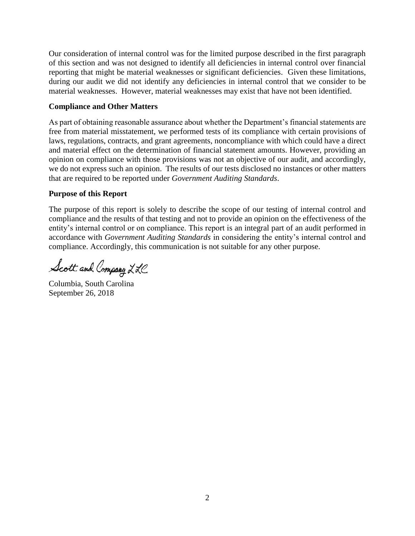Our consideration of internal control was for the limited purpose described in the first paragraph reporting that might be material weaknesses or significant deficiencies. Given these limitations, during our audit we did not identify any deficiencies in internal control that we consider to be of this section and was not designed to identify all deficiencies in internal control over financial material weaknesses. However, material weaknesses may exist that have not been identified.

#### **Compliance and Other Matters**

 free from material misstatement, we performed tests of its compliance with certain provisions of laws, regulations, contracts, and grant agreements, noncompliance with which could have a direct and material effect on the determination of financial statement amounts. However, providing an we do not express such an opinion. The results of our tests disclosed no instances or other matters As part of obtaining reasonable assurance about whether the Department's financial statements are opinion on compliance with those provisions was not an objective of our audit, and accordingly, that are required to be reported under *Government Auditing Standards*.

#### **Purpose of this Report**

 The purpose of this report is solely to describe the scope of our testing of internal control and entity's internal control or on compliance. This report is an integral part of an audit performed in compliance and the results of that testing and not to provide an opinion on the effectiveness of the accordance with *Government Auditing Standards* in considering the entity's internal control and compliance. Accordingly, this communication is not suitable for any other purpose.

Scott and Company LLC

Columbia, South Carolina September 26, 2018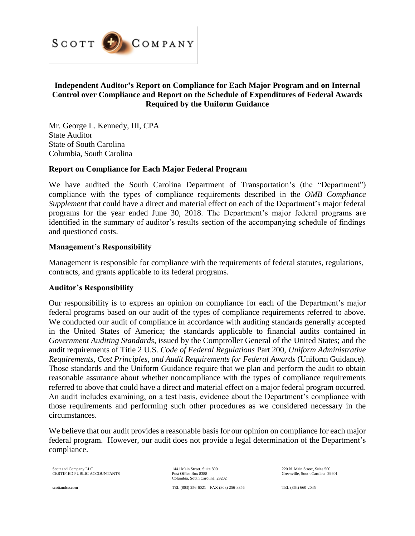

## **Independent Auditor's Report on Compliance for Each Major Program and on Internal Control over Compliance and Report on the Schedule of Expenditures of Federal Awards Required by the Uniform Guidance**

Mr. George L. Kennedy, III, CPA State Auditor State of South Carolina Columbia, South Carolina

#### **Report on Compliance for Each Major Federal Program**

 We have audited the South Carolina Department of Transportation's (the "Department") *Supplement* that could have a direct and material effect on each of the Department's major federal programs for the year ended June 30, 2018. The Department's major federal programs are identified in the summary of auditor's results section of the accompanying schedule of findings compliance with the types of compliance requirements described in the *OMB Compliance*  and questioned costs.

#### **Management's Responsibility**

Management is responsible for compliance with the requirements of federal statutes, regulations, contracts, and grants applicable to its federal programs.

#### **Auditor's Responsibility**

 Our responsibility is to express an opinion on compliance for each of the Department's major federal programs based on our audit of the types of compliance requirements referred to above. We conducted our audit of compliance in accordance with auditing standards generally accepted Requirements, Cost Principles, and Audit Requirements for Federal Awards (Uniform Guidance). *Requirements, Cost Principles, and Audit Requirements for Federal Awards* (Uniform Guidance). Those standards and the Uniform Guidance require that we plan and perform the audit to obtain reasonable assurance about whether noncompliance with the types of compliance requirements referred to above that could have a direct and material effect on a major federal program occurred. in the United States of America; the standards applicable to financial audits contained in *Government Auditing Standards*, issued by the Comptroller General of the United States; and the audit requirements of Title 2 U.S. *Code of Federal Regulations* Part 200, *Uniform Administrative*  An audit includes examining, on a test basis, evidence about the Department's compliance with those requirements and performing such other procedures as we considered necessary in the circumstances.

 We believe that our audit provides a reasonable basis for our opinion on compliance for each major federal program. However, our audit does not provide a legal determination of the Department's compliance.

Scott and Company LLC CERTIFIED PUBLIC ACCOUNTANTS 1441 Main Street, Suite 800 Post Office Box 8388 Columbia, South Carolina 29202  220 N. Main Street, Suite 500 Greenville, South Carolina 29601

TEL (864) 660-2045

scottandco.com

TEL (803) 256 -6021 FAX (803) 256-8346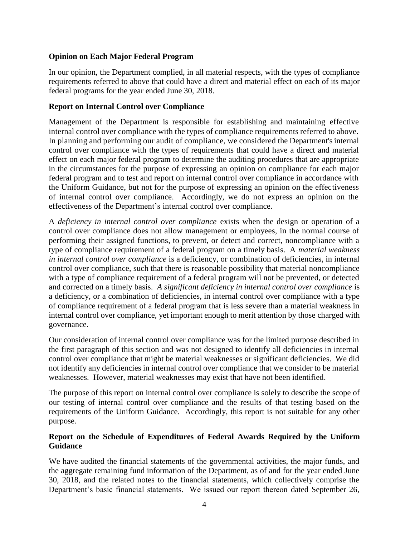## **Opinion on Each Major Federal Program**

 In our opinion, the Department complied, in all material respects, with the types of compliance requirements referred to above that could have a direct and material effect on each of its major federal programs for the year ended June 30, 2018.

## **Report on Internal Control over Compliance**

 Management of the Department is responsible for establishing and maintaining effective internal control over compliance with the types of compliance requirements referred to above. In planning and performing our audit of compliance, we considered the Department's internal control over compliance with the types of requirements that could have a direct and material effect on each major federal program to determine the auditing procedures that are appropriate in the circumstances for the purpose of expressing an opinion on compliance for each major federal program and to test and report on internal control over compliance in accordance with the Uniform Guidance, but not for the purpose of expressing an opinion on the effectiveness of internal control over compliance. Accordingly, we do not express an opinion on the effectiveness of the Department's internal control over compliance.

 A *deficiency in internal control over compliance* exists when the design or operation of a control over compliance does not allow management or employees, in the normal course of performing their assigned functions, to prevent, or detect and correct, noncompliance with a type of compliance requirement of a federal program on a timely basis. A *material weakness*  with a type of compliance requirement of a federal program will not be prevented, or detected and corrected on a timely basis. *A significant deficiency in internal control over compliance* is a deficiency, or a combination of deficiencies, in internal control over compliance with a type of compliance requirement of a federal program that is less severe than a material weakness in internal control over compliance, yet important enough to merit attention by those charged with governance. *in internal control over compliance* is a deficiency, or combination of deficiencies, in internal control over compliance, such that there is reasonable possibility that material noncompliance

 the first paragraph of this section and was not designed to identify all deficiencies in internal control over compliance that might be material weaknesses or significant deficiencies. We did not identify any deficiencies in internal control over compliance that we consider to be material weaknesses. However, material weaknesses may exist that have not been identified. Our consideration of internal control over compliance was for the limited purpose described in

 The purpose of this report on internal control over compliance is solely to describe the scope of our testing of internal control over compliance and the results of that testing based on the requirements of the Uniform Guidance. Accordingly, this report is not suitable for any other purpose.

## **Report on the Schedule of Expenditures of Federal Awards Required by the Uniform Guidance**

 We have audited the financial statements of the governmental activities, the major funds, and the aggregate remaining fund information of the Department, as of and for the year ended June 30, 2018, and the related notes to the financial statements, which collectively comprise the Department's basic financial statements. We issued our report thereon dated September 26,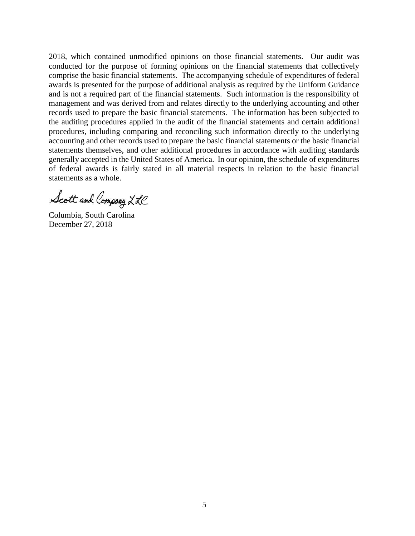2018, which contained unmodified opinions on those financial statements. Our audit was conducted for the purpose of forming opinions on the financial statements that collectively comprise the basic financial statements. The accompanying schedule of expenditures of federal awards is presented for the purpose of additional analysis as required by the Uniform Guidance and is not a required part of the financial statements. Such information is the responsibility of management and was derived from and relates directly to the underlying accounting and other records used to prepare the basic financial statements. The information has been subjected to the auditing procedures applied in the audit of the financial statements and certain additional procedures, including comparing and reconciling such information directly to the underlying accounting and other records used to prepare the basic financial statements or the basic financial generally accepted in the United States of America. In our opinion, the schedule of expenditures statements themselves, and other additional procedures in accordance with auditing standards of federal awards is fairly stated in all material respects in relation to the basic financial statements as a whole.

Scott and Company LLC

Columbia, South Carolina December 27, 2018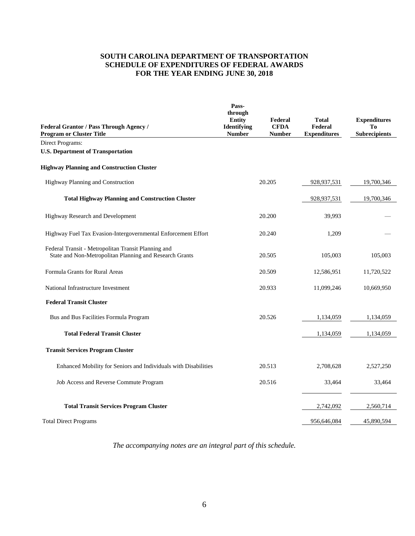#### **SOUTH CAROLINA DEPARTMENT OF TRANSPORTATION SCHEDULE OF EXPENDITURES OF FEDERAL AWARDS FOR THE YEAR ENDING JUNE 30, 2018**

| Federal Grantor / Pass Through Agency /<br><b>Program or Cluster Title</b>                                     | Pass-<br>through<br>Entity<br><b>Identifying</b><br><b>Number</b> | Federal<br><b>CFDA</b><br><b>Number</b> | <b>Total</b><br>Federal<br><b>Expenditures</b> | <b>Expenditures</b><br>To<br><b>Subrecipients</b> |
|----------------------------------------------------------------------------------------------------------------|-------------------------------------------------------------------|-----------------------------------------|------------------------------------------------|---------------------------------------------------|
| Direct Programs:                                                                                               |                                                                   |                                         |                                                |                                                   |
| <b>U.S. Department of Transportation</b>                                                                       |                                                                   |                                         |                                                |                                                   |
| <b>Highway Planning and Construction Cluster</b>                                                               |                                                                   |                                         |                                                |                                                   |
| Highway Planning and Construction                                                                              |                                                                   | 20.205                                  | 928,937,531                                    | 19,700,346                                        |
| <b>Total Highway Planning and Construction Cluster</b>                                                         |                                                                   |                                         | 928, 937, 531                                  | 19,700,346                                        |
| Highway Research and Development                                                                               |                                                                   | 20.200                                  | 39,993                                         |                                                   |
| Highway Fuel Tax Evasion-Intergovernmental Enforcement Effort                                                  |                                                                   | 20.240                                  | 1,209                                          |                                                   |
| Federal Transit - Metropolitan Transit Planning and<br>State and Non-Metropolitan Planning and Research Grants |                                                                   | 20.505                                  | 105,003                                        | 105,003                                           |
| Formula Grants for Rural Areas                                                                                 |                                                                   | 20.509                                  | 12,586,951                                     | 11,720,522                                        |
| National Infrastructure Investment                                                                             |                                                                   | 20.933                                  | 11,099,246                                     | 10,669,950                                        |
| <b>Federal Transit Cluster</b>                                                                                 |                                                                   |                                         |                                                |                                                   |
| Bus and Bus Facilities Formula Program                                                                         |                                                                   | 20.526                                  | 1,134,059                                      | 1,134,059                                         |
| <b>Total Federal Transit Cluster</b>                                                                           |                                                                   |                                         | 1,134,059                                      | 1,134,059                                         |
| <b>Transit Services Program Cluster</b>                                                                        |                                                                   |                                         |                                                |                                                   |
| Enhanced Mobility for Seniors and Individuals with Disabilities                                                |                                                                   | 20.513                                  | 2,708,628                                      | 2,527,250                                         |
| Job Access and Reverse Commute Program                                                                         |                                                                   | 20.516                                  | 33,464                                         | 33,464                                            |
| <b>Total Transit Services Program Cluster</b>                                                                  |                                                                   |                                         | 2,742,092                                      | 2,560,714                                         |
| <b>Total Direct Programs</b>                                                                                   |                                                                   |                                         | 956,646,084                                    | 45,890,594                                        |

*The accompanying notes are an integral part of this schedule.*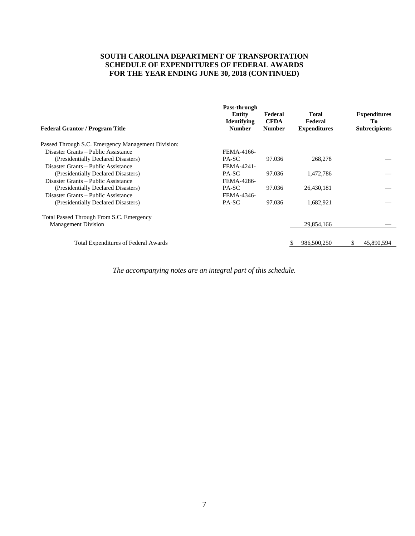#### **SOUTH CAROLINA DEPARTMENT OF TRANSPORTATION SCHEDULE OF EXPENDITURES OF FEDERAL AWARDS FOR THE YEAR ENDING JUNE 30, 2018 (CONTINUED)**

| Pass-through<br><b>Entity</b><br><b>Identifying</b><br><b>Number</b> | Federal<br><b>CFDA</b><br><b>Number</b> | Total<br>Federal<br><b>Expenditures</b> |            | <b>Expenditures</b><br>Tо<br><b>Subrecipients</b> |
|----------------------------------------------------------------------|-----------------------------------------|-----------------------------------------|------------|---------------------------------------------------|
|                                                                      |                                         |                                         |            |                                                   |
|                                                                      |                                         |                                         |            |                                                   |
| FEMA-4166-                                                           |                                         |                                         |            |                                                   |
| PA-SC                                                                | 97.036                                  | 268,278                                 |            |                                                   |
| FEMA-4241-                                                           |                                         |                                         |            |                                                   |
| PA-SC                                                                | 97.036                                  | 1,472,786                               |            |                                                   |
| FEMA-4286-                                                           |                                         |                                         |            |                                                   |
| PA-SC                                                                | 97.036                                  | 26,430,181                              |            |                                                   |
| FEMA-4346-                                                           |                                         |                                         |            |                                                   |
| PA-SC                                                                | 97.036                                  | 1,682,921                               |            |                                                   |
|                                                                      |                                         |                                         |            |                                                   |
|                                                                      |                                         |                                         |            |                                                   |
|                                                                      |                                         |                                         |            |                                                   |
|                                                                      |                                         | 986,500,250                             |            | 45,890,594                                        |
|                                                                      |                                         |                                         | 29,854,166 |                                                   |

*The accompanying notes are an integral part of this schedule.*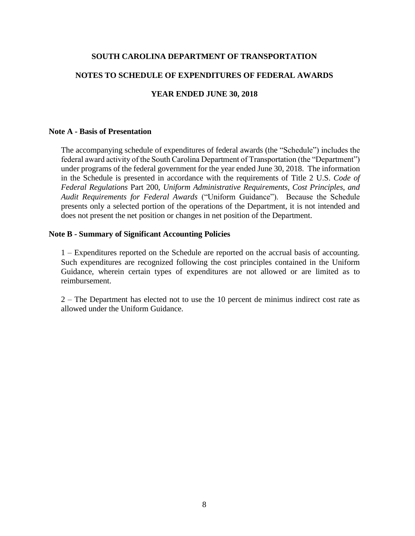#### <span id="page-10-0"></span>**SOUTH CAROLINA DEPARTMENT OF TRANSPORTATION**

## **NOTES TO SCHEDULE OF EXPENDITURES OF FEDERAL AWARDS**

#### **YEAR ENDED JUNE 30, 2018**

#### **Note A - Basis of Presentation**

 The accompanying schedule of expenditures of federal awards (the "Schedule") includes the federal award activity of the South Carolina Department of Transportation (the "Department") under programs of the federal government for the year ended June 30, 2018. The information in the Schedule is presented in accordance with the requirements of Title 2 U.S. *Code of Audit Requirements for Federal Awards* ("Uniform Guidance"). Because the Schedule presents only a selected portion of the operations of the Department, it is not intended and *Federal Regulations* Part 200, *Uniform Administrative Requirements, Cost Principles, and*  does not present the net position or changes in net position of the Department.

#### **Note B - Summary of Significant Accounting Policies**

1 – Expenditures reported on the Schedule are reported on the accrual basis of accounting. 1 – Expenditures reported on the Schedule are reported on the accrual basis of accounting. Such expenditures are recognized following the cost principles contained in the Uniform Guidance, wherein certain types of expenditures are not allowed or are limited as to reimbursement.

 2 – The Department has elected not to use the 10 percent de minimus indirect cost rate as allowed under the Uniform Guidance.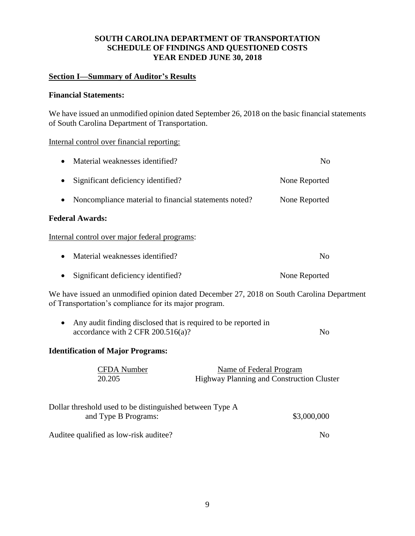## **SOUTH CAROLINA DEPARTMENT OF TRANSPORTATION SCHEDULE OF FINDINGS AND QUESTIONED COSTS YEAR ENDED JUNE 30, 2018**

## **Section I—Summary of Auditor's Results**

## **Financial Statements:**

 We have issued an unmodified opinion dated September 26, 2018 on the basic financial statements of South Carolina Department of Transportation.

#### Internal control over financial reporting:

| Material weaknesses identified?<br>$\bullet$                       | No            |  |
|--------------------------------------------------------------------|---------------|--|
| Significant deficiency identified?<br>$\bullet$                    | None Reported |  |
| Noncompliance material to financial statements noted?<br>$\bullet$ | None Reported |  |
| <b>Federal Awards:</b>                                             |               |  |
| Internal control over major federal programs:                      |               |  |

| • Material weaknesses identified? | No. |
|-----------------------------------|-----|
|                                   |     |

• Significant deficiency identified? None Reported

 We have issued an unmodified opinion dated December 27, 2018 on South Carolina Department of Transportation's compliance for its major program.

| Any audit finding disclosed that is required to be reported in |    |
|----------------------------------------------------------------|----|
| accordance with $2$ CFR $200.516(a)$ ?                         | No |

## **Identification of Major Programs:**

| <b>CFDA</b> Number<br>20.205                                                     | Name of Federal Program<br>Highway Planning and Construction Cluster |
|----------------------------------------------------------------------------------|----------------------------------------------------------------------|
| Dollar threshold used to be distinguished between Type A<br>and Type B Programs: | \$3,000,000                                                          |
| Auditee qualified as low-risk auditee?                                           | No                                                                   |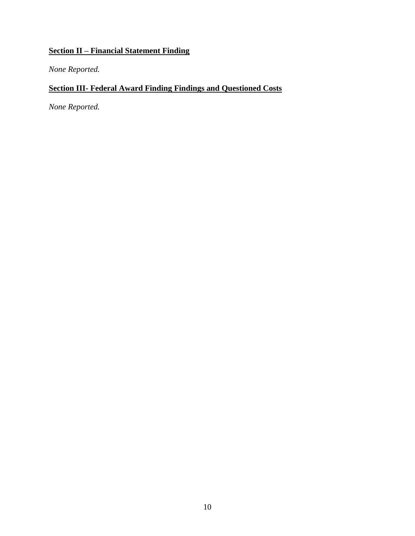# **Section II – Financial Statement Finding**

*None Reported.* 

## **Section III- Federal Award Finding Findings and Questioned Costs**

*None Reported.*